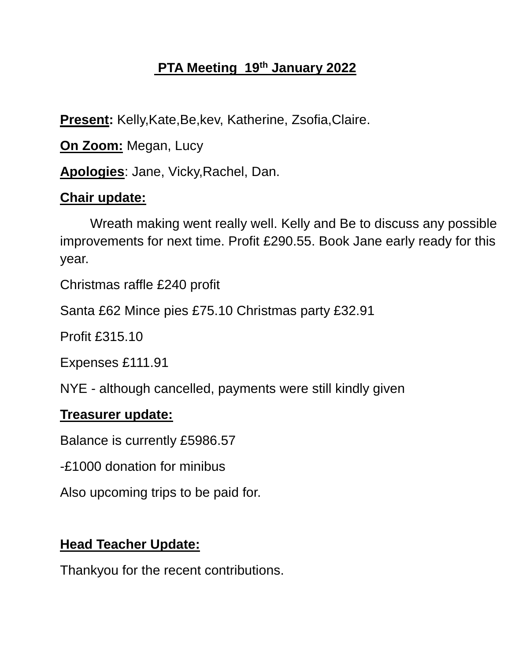# **PTA Meeting 19th January 2022**

**Present:** Kelly,Kate,Be,kev, Katherine, Zsofia,Claire.

**On Zoom:** Megan, Lucy

**Apologies**: Jane, Vicky,Rachel, Dan.

## **Chair update:**

Wreath making went really well. Kelly and Be to discuss any possible improvements for next time. Profit £290.55. Book Jane early ready for this year.

Christmas raffle £240 profit

Santa £62 Mince pies £75.10 Christmas party £32.91

Profit £315.10

Expenses £111.91

NYE - although cancelled, payments were still kindly given

### **Treasurer update:**

Balance is currently £5986.57

-£1000 donation for minibus

Also upcoming trips to be paid for.

## **Head Teacher Update:**

Thankyou for the recent contributions.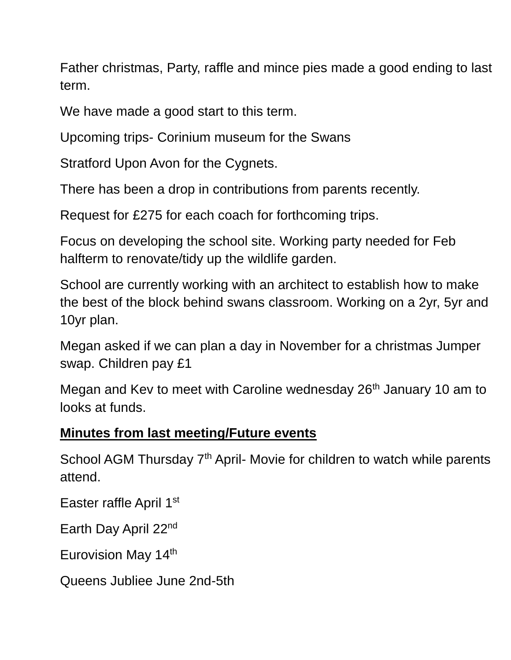Father christmas, Party, raffle and mince pies made a good ending to last term.

We have made a good start to this term.

Upcoming trips- Corinium museum for the Swans

Stratford Upon Avon for the Cygnets.

There has been a drop in contributions from parents recently.

Request for £275 for each coach for forthcoming trips.

Focus on developing the school site. Working party needed for Feb halfterm to renovate/tidy up the wildlife garden.

School are currently working with an architect to establish how to make the best of the block behind swans classroom. Working on a 2yr, 5yr and 10yr plan.

Megan asked if we can plan a day in November for a christmas Jumper swap. Children pay £1

Megan and Kev to meet with Caroline wednesday 26<sup>th</sup> January 10 am to looks at funds.

### **Minutes from last meeting/Future events**

School AGM Thursday 7<sup>th</sup> April- Movie for children to watch while parents attend.

Easter raffle April 1st

Earth Day April 22nd

Eurovision May 14th

Queens Jubliee June 2nd-5th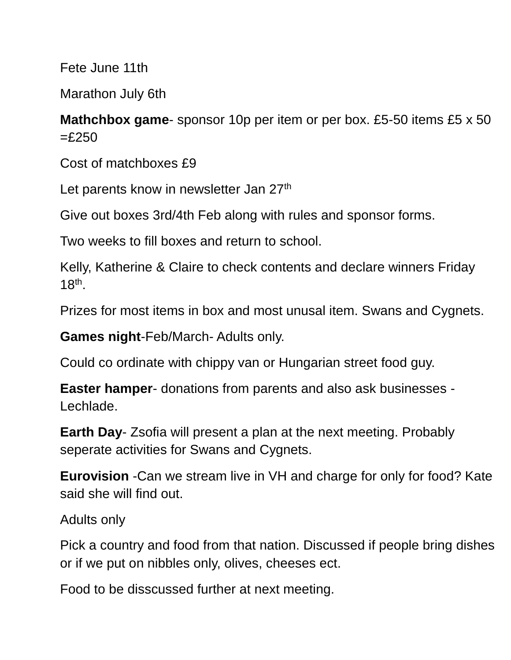Fete June 11th

Marathon July 6th

**Mathchbox game**- sponsor 10p per item or per box. £5-50 items £5 x 50  $=$ £250

Cost of matchboxes £9

Let parents know in newsletter Jan 27<sup>th</sup>

Give out boxes 3rd/4th Feb along with rules and sponsor forms.

Two weeks to fill boxes and return to school.

Kelly, Katherine & Claire to check contents and declare winners Friday 18th .

Prizes for most items in box and most unusal item. Swans and Cygnets.

**Games night**-Feb/March- Adults only.

Could co ordinate with chippy van or Hungarian street food guy.

**Easter hamper**- donations from parents and also ask businesses - Lechlade.

**Earth Day**- Zsofia will present a plan at the next meeting. Probably seperate activities for Swans and Cygnets.

**Eurovision** -Can we stream live in VH and charge for only for food? Kate said she will find out.

Adults only

Pick a country and food from that nation. Discussed if people bring dishes or if we put on nibbles only, olives, cheeses ect.

Food to be disscussed further at next meeting.